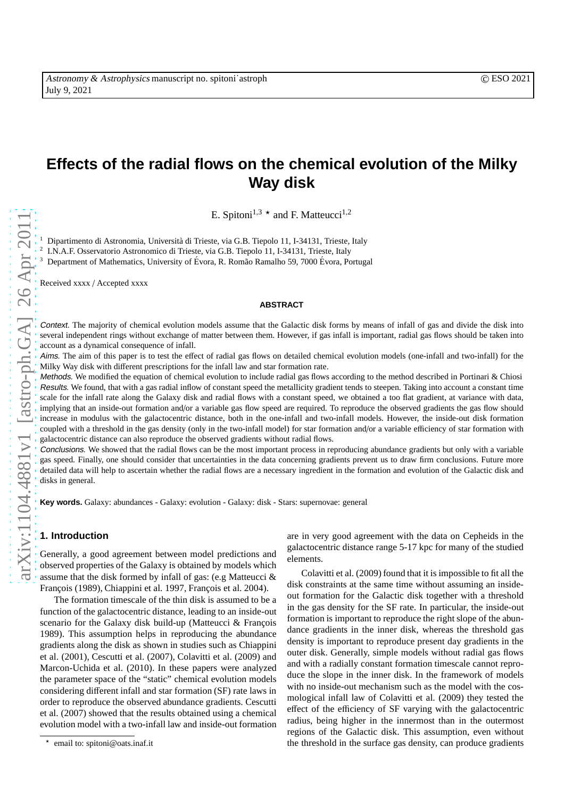# **Effects of the radial flows on the chemical evolution of the Milky Way disk**

E. Spitoni<sup>1,3</sup>  $\star$  and F. Matteucci<sup>1,2</sup>

Dipartimento di Astronomia, Università di Trieste, via G.B. Tiepolo 11, I-34131, Trieste, Italy

2 I.N.A.F. Osservatorio Astronomico di Trieste, via G.B. Tiepolo 11, I-34131, Trieste, Italy

Department of Mathematics, University of Évora, R. Romão Ramalho 59, 7000 Évora, Portugal

Received xxxx / Accepted xxxx

## **ABSTRACT**

Context. The majority of chemical evolution models assume that the Galactic disk forms by means of infall of gas and divide the disk into several independent rings without exchange of matter between them. However, if gas infall is important, radial gas flows should be taken into account as a dynamical consequence of infall.

Aims. The aim of this paper is to test the effect of radial gas flows on detailed chemical evolution models (one-infall and two-infall) for the Milky Way disk with different prescriptions for the infall law and star formation rate.

Methods. We modified the equation of chemical evolution to include radial gas flows according to the method described in Portinari & Chiosi Results. We found, that with a gas radial inflow of constant speed the metallicity gradient tends to steepen. Taking into account a constant time scale for the infall rate along the Galaxy disk and radial flows with a constant speed, we obtained a too flat gradient, at variance with data, implying that an inside-out formation and/or a variable gas flow speed are required. To reproduce the observed gradients the gas flow should increase in modulus with the galactocentric distance, both in the one-infall and two-infall models. However, the inside-out disk formation coupled with a threshold in the gas density (only in the two-infall model) for star formation and/or a variable efficiency of star formation with galactocentric distance can also reproduce the observed gradients without radial flows.

Conclusions. We showed that the radial flows can be the most important process in reproducing abundance gradients but only with a variable gas speed. Finally, one should consider that uncertainties in the data concerning gradients prevent us to draw firm conclusions. Future more detailed data will help to ascertain whether the radial flows are a necessary ingredient in the formation and evolution of the Galactic disk and disks in general.

**Key words.** Galaxy: abundances - Galaxy: evolution - Galaxy: disk - Stars: supernovae: general

# **1. Introduction**

Generally, a good agreement between model predictions and observed properties of the Galaxy is obtained by models which assume that the disk formed by infall of gas: (e.g Matteucci & François (1989), Chiappini et al. 1997, François et al. 2004).

The formation timescale of the thin disk is assumed to be a function of the galactocentric distance, leading to an inside-out scenario for the Galaxy disk build-up (Matteucci  $&$  François 1989). This assumption helps in reproducing the abundance gradients along the disk as shown in studies such as Chiappini et al. (2001), Cescutti et al. (2007), Colavitti et al. (2009) and Marcon-Uchida et al. (2010). In these papers were analyzed the parameter space of the "static" chemical evolution models considering different infall and star formation (SF) rate laws in order to reproduce the observed abundance gradients. Cescutti et al. (2007) showed that the results obtained using a chemical evolution model with a two-infall law and inside-out formation

are in very good agreement with the data on Cepheids in the galactocentric distance range 5-17 kpc for many of the studied elements.

Colavitti et al. (2009) found that it is impossible to fit all the disk constraints at the same time without assuming an insideout formation for the Galactic disk together with a threshold in the gas density for the SF rate. In particular, the inside-out formation is important to reproduce the right slope of the abundance gradients in the inner disk, whereas the threshold gas density is important to reproduce present day gradients in the outer disk. Generally, simple models without radial gas flows and with a radially constant formation timescale cannot reproduce the slope in the inner disk. In the framework of models with no inside-out mechanism such as the model with the cosmological infall law of Colavitti et al. (2009) they tested the effect of the efficiency of SF varying with the galactocentric radius, being higher in the innermost than in the outermost regions of the Galactic disk. This assumption, even without the threshold in the surface gas density, can produce gradients

<sup>⋆</sup> email to: spitoni@oats.inaf.it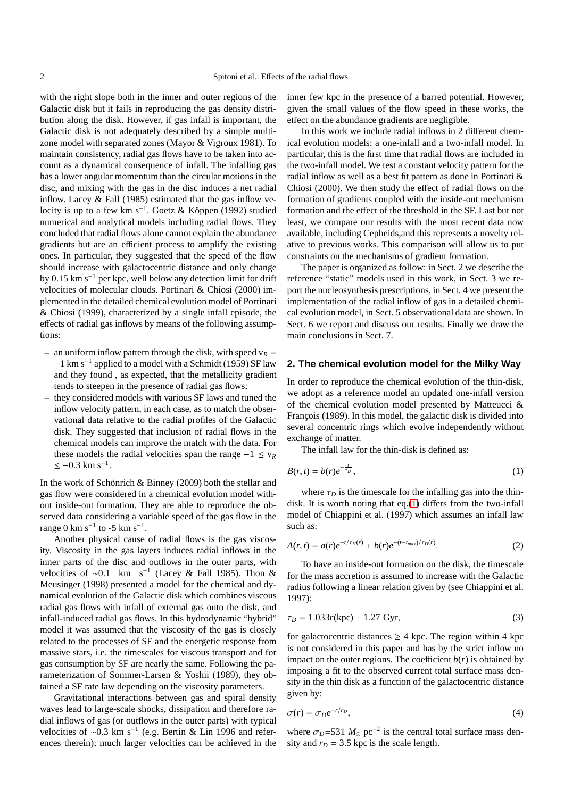with the right slope both in the inner and outer regions of the Galactic disk but it fails in reproducing the gas density distribution along the disk. However, if gas infall is important, the Galactic disk is not adequately described by a simple multizone model with separated zones (Mayor & Vigroux 1981). To maintain consistency, radial gas flows have to be taken into account as a dynamical consequence of infall. The infalling gas has a lower angular momentum than the circular motions in the disc, and mixing with the gas in the disc induces a net radial inflow. Lacey  $&$  Fall (1985) estimated that the gas inflow velocity is up to a few km s<sup>-1</sup>. Goetz & Köppen (1992) studied numerical and analytical models including radial flows. They concluded that radial flows alone cannot explain the abundance gradients but are an efficient process to amplify the existing ones. In particular, they suggested that the speed of the flow should increase with galactocentric distance and only change by 0.15 km s<sup>−</sup><sup>1</sup> per kpc, well below any detection limit for drift velocities of molecular clouds. Portinari & Chiosi (2000) implemented in the detailed chemical evolution model of Portinari & Chiosi (1999), characterized by a single infall episode, the effects of radial gas inflows by means of the following assumptions:

- an uniform inflow pattern through the disk, with speed  $v_R$  =  $-1$  km s<sup>-1</sup> applied to a model with a Schmidt (1959) SF law and they found , as expected, that the metallicity gradient tends to steepen in the presence of radial gas flows;
- **–** they considered models with various SF laws and tuned the inflow velocity pattern, in each case, as to match the observational data relative to the radial profiles of the Galactic disk. They suggested that inclusion of radial flows in the chemical models can improve the match with the data. For these models the radial velocities span the range  $-1 \le v_R$  $\leq -0.3$  km s<sup>-1</sup>.

In the work of Schönrich  $& \text{Binney (2009)}$  both the stellar and gas flow were considered in a chemical evolution model without inside-out formation. They are able to reproduce the observed data considering a variable speed of the gas flow in the range 0 km s<sup>-1</sup> to -5 km s<sup>-1</sup>.

Another physical cause of radial flows is the gas viscosity. Viscosity in the gas layers induces radial inflows in the inner parts of the disc and outflows in the outer parts, with velocities of ~0.1 km s<sup>-1</sup> (Lacey & Fall 1985). Thon & Meusinger (1998) presented a model for the chemical and dynamical evolution of the Galactic disk which combines viscous radial gas flows with infall of external gas onto the disk, and infall-induced radial gas flows. In this hydrodynamic "hybrid" model it was assumed that the viscosity of the gas is closely related to the processes of SF and the energetic response from massive stars, i.e. the timescales for viscous transport and for gas consumption by SF are nearly the same. Following the parameterization of Sommer-Larsen & Yoshii (1989), they obtained a SF rate law depending on the viscosity parameters.

Gravitational interactions between gas and spiral density waves lead to large-scale shocks, dissipation and therefore radial inflows of gas (or outflows in the outer parts) with typical velocities of ~0.3 km s<sup>-1</sup> (e.g. Bertin & Lin 1996 and references therein); much larger velocities can be achieved in the inner few kpc in the presence of a barred potential. However, given the small values of the flow speed in these works, the effect on the abundance gradients are negligible.

In this work we include radial inflows in 2 different chemical evolution models: a one-infall and a two-infall model. In particular, this is the first time that radial flows are included in the two-infall model. We test a constant velocity pattern for the radial inflow as well as a best fit pattern as done in Portinari & Chiosi (2000). We then study the effect of radial flows on the formation of gradients coupled with the inside-out mechanism formation and the effect of the threshold in the SF. Last but not least, we compare our results with the most recent data now available, including Cepheids,and this represents a novelty relative to previous works. This comparison will allow us to put constraints on the mechanisms of gradient formation.

The paper is organized as follow: in Sect. 2 we describe the reference "static" models used in this work, in Sect. 3 we report the nucleosynthesis prescriptions, in Sect. 4 we present the implementation of the radial inflow of gas in a detailed chemical evolution model, in Sect. 5 observational data are shown. In Sect. 6 we report and discuss our results. Finally we draw the main conclusions in Sect. 7.

### **2. The chemical evolution model for the Milky Way**

In order to reproduce the chemical evolution of the thin-disk, we adopt as a reference model an updated one-infall version of the chemical evolution model presented by Matteucci & François (1989). In this model, the galactic disk is divided into several concentric rings which evolve independently without exchange of matter.

The infall law for the thin-disk is defined as:

<span id="page-1-0"></span>
$$
B(r,t) = b(r)e^{-\frac{t}{\tau_D}},\tag{1}
$$

where  $\tau_D$  is the timescale for the infalling gas into the thindisk. It is worth noting that eq.[\(1\)](#page-1-0) differs from the two-infall model of Chiappini et al. (1997) which assumes an infall law such as:

$$
A(r,t) = a(r)e^{-t/\tau_H(r)} + b(r)e^{-(t-t_{max})/\tau_D(r)}.
$$
 (2)

To have an inside-out formation on the disk, the timescale for the mass accretion is assumed to increase with the Galactic radius following a linear relation given by (see Chiappini et al. 1997):

<span id="page-1-1"></span>
$$
\tau_D = 1.033r(\text{kpc}) - 1.27 \text{ Gyr},\tag{3}
$$

for galactocentric distances  $\geq 4$  kpc. The region within 4 kpc is not considered in this paper and has by the strict inflow no impact on the outer regions. The coefficient  $b(r)$  is obtained by imposing a fit to the observed current total surface mass density in the thin disk as a function of the galactocentric distance given by:

$$
\sigma(r) = \sigma_D e^{-r/r_D},\tag{4}
$$

where  $\sigma_D$ =531  $M_\odot$  pc<sup>-2</sup> is the central total surface mass density and  $r_D = 3.5$  kpc is the scale length.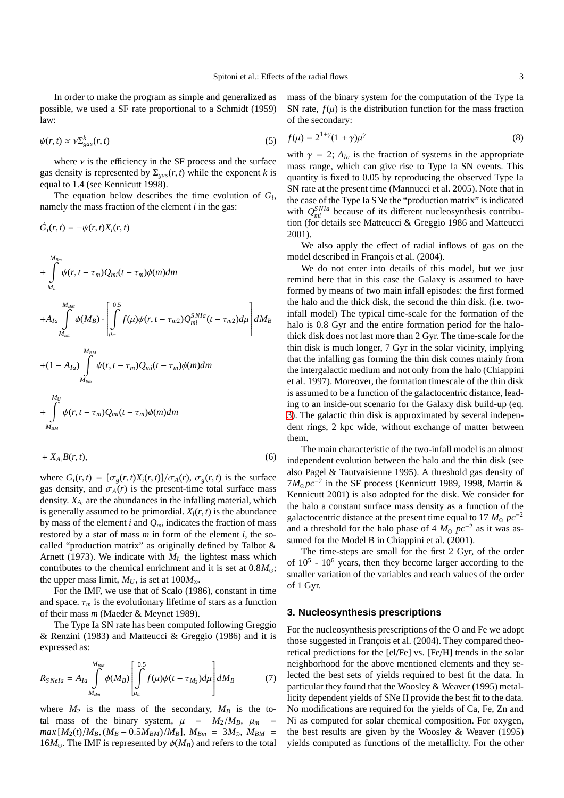In order to make the program as simple and generalized as possible, we used a SF rate proportional to a Schmidt (1959) law:

$$
\psi(r,t) \propto \nu \Sigma_{gas}^k(r,t) \tag{5}
$$

where  $\nu$  is the efficiency in the SF process and the surface gas density is represented by  $\Sigma_{gas}(r, t)$  while the exponent *k* is equal to 1.4 (see Kennicutt 1998).

The equation below describes the time evolution of *G<sup>i</sup>* , namely the mass fraction of the element *i* in the gas:

$$
\dot{G}_i(r,t)=-\psi(r,t)X_i(r,t)
$$

$$
+ \int_{M_L}^{M_{Bm}} \psi(r, t - \tau_m) Q_{mi}(t - \tau_m) \phi(m) dm
$$
  
+ 
$$
+ A_{Ia} \int_{M_{Bm}}^{M_{BM}} \phi(M_B) \cdot \left[ \int_{\mu_m}^{0.5} f(\mu) \psi(r, t - \tau_{m2}) Q_{mi}^{SNIa}(t - \tau_{m2}) d\mu \right] dM_B
$$
  
+ 
$$
(1 - A_{Ia}) \int_{M_{Bm}}^{M_{BM}} \psi(r, t - \tau_m) Q_{mi}(t - \tau_m) \phi(m) dm
$$
  
+ 
$$
+ \int_{M_{BM}}^{M_U} \psi(r, t - \tau_m) Q_{mi}(t - \tau_m) \phi(m) dm
$$

<span id="page-2-0"></span>
$$
+ X_{A_i} B(r, t), \tag{6}
$$

where  $G_i(r, t) = [\sigma_g(r, t)X_i(r, t)]/\sigma_A(r), \sigma_g(r, t)$  is the surface gas density, and  $\sigma_A(r)$  is the present-time total surface mass density. *X<sup>A</sup><sup>i</sup>* are the abundances in the infalling material, which is generally assumed to be primordial.  $X_i(r, t)$  is the abundance by mass of the element  $i$  and  $Q_{mi}$  indicates the fraction of mass restored by a star of mass *m* in form of the element *i*, the socalled "production matrix" as originally defined by Talbot & Arnett (1973). We indicate with  $M_L$  the lightest mass which contributes to the chemical enrichment and it is set at  $0.8M_{\odot}$ ; the upper mass limit,  $M_U$ , is set at  $100M_{\odot}$ .

For the IMF, we use that of Scalo (1986), constant in time and space.  $\tau_m$  is the evolutionary lifetime of stars as a function of their mass *m* (Maeder & Meynet 1989).

The Type Ia SN rate has been computed following Greggio & Renzini (1983) and Matteucci & Greggio (1986) and it is expressed as:

$$
R_{SNeIa} = A_{Ia} \int_{M_{Bm}}^{M_{BM}} \phi(M_B) \left[ \int_{\mu_m}^{0.5} f(\mu) \psi(t - \tau_{M_2}) d\mu \right] dM_B \tag{7}
$$

where  $M_2$  is the mass of the secondary,  $M_B$  is the total mass of the binary system,  $\mu = M_2/M_B$ ,  $\mu_m$  $max[M_2(t)/M_B, (M_B - 0.5M_{BM})/M_B], M_{Bm} = 3M_{\odot}, M_{BM}$ 16 $M_{\odot}$ . The IMF is represented by  $\phi(M_B)$  and refers to the total mass of the binary system for the computation of the Type Ia SN rate,  $f(\mu)$  is the distribution function for the mass fraction of the secondary:

$$
f(\mu) = 2^{1+\gamma}(1+\gamma)\mu^{\gamma}
$$
 (8)

with  $\gamma = 2$ ;  $A_{Ia}$  is the fraction of systems in the appropriate mass range, which can give rise to Type Ia SN events. This quantity is fixed to 0.05 by reproducing the observed Type Ia SN rate at the present time (Mannucci et al. 2005). Note that in the case of the Type Ia SNe the "production matrix" is indicated with  $Q_{mi}^{SNIa}$  because of its different nucleosynthesis contribution (for details see Matteucci & Greggio 1986 and Matteucci 2001).

We also apply the effect of radial inflows of gas on the model described in François et al. (2004).

We do not enter into details of this model, but we just remind here that in this case the Galaxy is assumed to have formed by means of two main infall episodes: the first formed the halo and the thick disk, the second the thin disk. (i.e. twoinfall model) The typical time-scale for the formation of the halo is 0.8 Gyr and the entire formation period for the halothick disk does not last more than 2 Gyr. The time-scale for the thin disk is much longer, 7 Gyr in the solar vicinity, implying that the infalling gas forming the thin disk comes mainly from the intergalactic medium and not only from the halo (Chiappini et al. 1997). Moreover, the formation timescale of the thin disk is assumed to be a function of the galactocentric distance, leading to an inside-out scenario for the Galaxy disk build-up (eq. [3\)](#page-1-1). The galactic thin disk is approximated by several independent rings, 2 kpc wide, without exchange of matter between them.

The main characteristic of the two-infall model is an almost independent evolution between the halo and the thin disk (see also Pagel & Tautvaisienne 1995). A threshold gas density of 7*M*<sub>⊙</sub> $pc^{-2}$  in the SF process (Kennicutt 1989, 1998, Martin & Kennicutt 2001) is also adopted for the disk. We consider for the halo a constant surface mass density as a function of the galactocentric distance at the present time equal to 17  $M_{\odot}$   $pc^{-2}$ and a threshold for the halo phase of 4  $M_{\odot}$   $pc^{-2}$  as it was assumed for the Model B in Chiappini et al. (2001).

The time-steps are small for the first 2 Gyr, of the order of  $10^5$  -  $10^6$  years, then they become larger according to the smaller variation of the variables and reach values of the order of 1 Gyr.

### **3. Nucleosynthesis prescriptions**

For the nucleosynthesis prescriptions of the O and Fe we adopt those suggested in François et al. (2004). They compared theoretical predictions for the [el/Fe] vs. [Fe/H] trends in the solar neighborhood for the above mentioned elements and they selected the best sets of yields required to best fit the data. In particular they found that the Woosley & Weaver (1995) metallicity dependent yields of SNe II provide the best fit to the data. No modifications are required for the yields of Ca, Fe, Zn and Ni as computed for solar chemical composition. For oxygen, the best results are given by the Woosley & Weaver (1995) yields computed as functions of the metallicity. For the other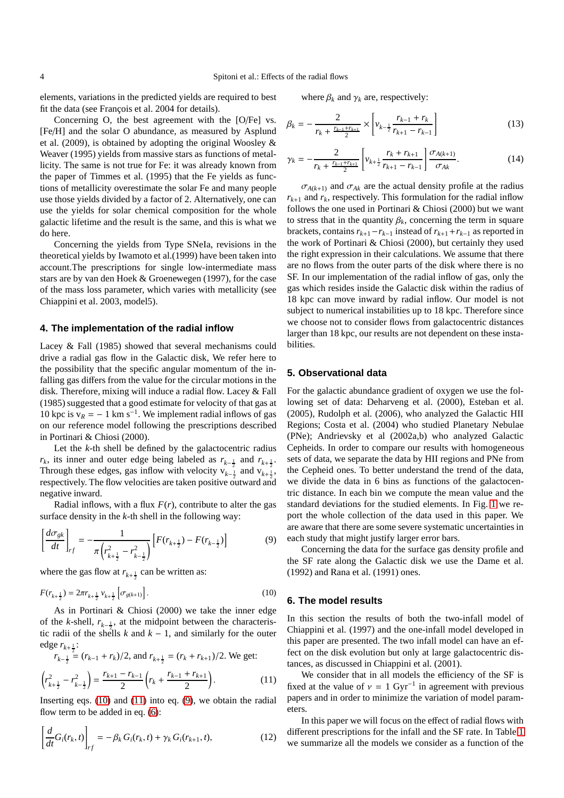elements, variations in the predicted yields are required to best fit the data (see François et al. 2004 for details).

Concerning O, the best agreement with the [O/Fe] vs. [Fe/H] and the solar O abundance, as measured by Asplund et al. (2009), is obtained by adopting the original Woosley & Weaver (1995) yields from massive stars as functions of metallicity. The same is not true for Fe: it was already known from the paper of Timmes et al. (1995) that the Fe yields as functions of metallicity overestimate the solar Fe and many people use those yields divided by a factor of 2. Alternatively, one can use the yields for solar chemical composition for the whole galactic lifetime and the result is the same, and this is what we do here.

Concerning the yields from Type SNeIa, revisions in the theoretical yields by Iwamoto et al.(1999) have been taken into account.The prescriptions for single low-intermediate mass stars are by van den Hoek & Groenewegen (1997), for the case of the mass loss parameter, which varies with metallicity (see Chiappini et al. 2003, model5).

## **4. The implementation of the radial inflow**

Lacey & Fall (1985) showed that several mechanisms could drive a radial gas flow in the Galactic disk, We refer here to the possibility that the specific angular momentum of the infalling gas differs from the value for the circular motions in the disk. Therefore, mixing will induce a radial flow. Lacey & Fall (1985) suggested that a good estimate for velocity of that gas at 10 kpc is  $v_R = -1$  km s<sup>-1</sup>. We implement radial inflows of gas on our reference model following the prescriptions described in Portinari & Chiosi (2000).

Let the *k*-th shell be defined by the galactocentric radius *r<sub>k</sub>*, its inner and outer edge being labeled as  $r_{k-\frac{1}{2}}$  and  $r_{k+\frac{1}{2}}$ . Through these edges, gas inflow with velocity  $v_{k-\frac{1}{2}}^{\sqrt{2}}$  and  $v_{k+\frac{1}{2}}^{\sqrt{2}}$ , respectively. The flow velocities are taken positive outward and negative inward.

Radial inflows, with a flux  $F(r)$ , contribute to alter the gas surface density in the *k*-th shell in the following way:

<span id="page-3-2"></span>
$$
\left[\frac{d\sigma_{gk}}{dt}\right]_{rf} = -\frac{1}{\pi \left(r_{k+\frac{1}{2}}^2 - r_{k-\frac{1}{2}}^2\right)} \left[F(r_{k+\frac{1}{2}}) - F(r_{k-\frac{1}{2}})\right]
$$
(9)

where the gas flow at  $r_{k+\frac{1}{2}}$  can be written as:

<span id="page-3-0"></span>
$$
F(r_{k+\frac{1}{2}}) = 2\pi r_{k+\frac{1}{2}} v_{k+\frac{1}{2}} \left[ \sigma_{g(k+1)} \right]. \tag{10}
$$

As in Portinari & Chiosi (2000) we take the inner edge of the *k*-shell,  $r_{k-\frac{1}{2}}$ , at the midpoint between the characteristic radii of the shells *k* and  $k - 1$ , and similarly for the outer edge  $r_{k+\frac{1}{2}}$ :

$$
r_{k-\frac{1}{2}} = (r_{k-1} + r_k)/2
$$
, and  $r_{k+\frac{1}{2}} = (r_k + r_{k+1})/2$ . We get:

<span id="page-3-1"></span>
$$
\left(r_{k+\frac{1}{2}}^2 - r_{k-\frac{1}{2}}^2\right) = \frac{r_{k+1} - r_{k-1}}{2} \left(r_k + \frac{r_{k-1} + r_{k+1}}{2}\right). \tag{11}
$$

Inserting eqs. [\(10\)](#page-3-0) and [\(11\)](#page-3-1) into eq. [\(9\)](#page-3-2), we obtain the radial flow term to be added in eq.  $(6)$ :

$$
\left[\frac{d}{dt}G_i(r_k,t)\right]_{rf} = -\beta_k G_i(r_k,t) + \gamma_k G_i(r_{k+1},t),
$$
\n(12)

where  $\beta_k$  and  $\gamma_k$  are, respectively:

$$
\beta_k = -\frac{2}{r_k + \frac{r_{k-1} + r_{k+1}}{2}} \times \left[ v_{k-\frac{1}{2}} \frac{r_{k-1} + r_k}{r_{k+1} - r_{k-1}} \right]
$$
(13)

$$
\gamma_k = -\frac{2}{r_k + \frac{r_{k-1} + r_{k+1}}{2}} \left[ v_{k+\frac{1}{2}} \frac{r_k + r_{k+1}}{r_{k+1} - r_{k-1}} \right] \frac{\sigma_{A(k+1)}}{\sigma_{Ak}}.
$$
 (14)

 $\sigma_{A(k+1)}$  and  $\sigma_{Ak}$  are the actual density profile at the radius  $r_{k+1}$  and  $r_k$ , respectively. This formulation for the radial inflow follows the one used in Portinari & Chiosi (2000) but we want to stress that in the quantity  $\beta_k$ , concerning the term in square brackets, contains  $r_{k+1} - r_{k-1}$  instead of  $r_{k+1} + r_{k-1}$  as reported in the work of Portinari & Chiosi (2000), but certainly they used the right expression in their calculations. We assume that there are no flows from the outer parts of the disk where there is no SF. In our implementation of the radial inflow of gas, only the gas which resides inside the Galactic disk within the radius of 18 kpc can move inward by radial inflow. Our model is not subject to numerical instabilities up to 18 kpc. Therefore since we choose not to consider flows from galactocentric distances larger than 18 kpc, our results are not dependent on these instabilities.

## **5. Observational data**

For the galactic abundance gradient of oxygen we use the following set of data: Deharveng et al. (2000), Esteban et al. (2005), Rudolph et al. (2006), who analyzed the Galactic HII Regions; Costa et al. (2004) who studied Planetary Nebulae (PNe); Andrievsky et al (2002a,b) who analyzed Galactic Cepheids. In order to compare our results with homogeneous sets of data, we separate the data by HII regions and PNe from the Cepheid ones. To better understand the trend of the data, we divide the data in 6 bins as functions of the galactocentric distance. In each bin we compute the mean value and the standard deviations for the studied elements. In Fig. [1](#page-4-0) we report the whole collection of the data used in this paper. We are aware that there are some severe systematic uncertainties in each study that might justify larger error bars.

Concerning the data for the surface gas density profile and the SF rate along the Galactic disk we use the Dame et al. (1992) and Rana et al. (1991) ones.

### **6. The model results**

In this section the results of both the two-infall model of Chiappini et al. (1997) and the one-infall model developed in this paper are presented. The two infall model can have an effect on the disk evolution but only at large galactocentric distances, as discussed in Chiappini et al. (2001).

We consider that in all models the efficiency of the SF is fixed at the value of  $v = 1$  Gyr<sup>-1</sup> in agreement with previous papers and in order to minimize the variation of model parameters.

In this paper we will focus on the effect of radial flows with different prescriptions for the infall and the SF rate. In Table [1](#page-5-0) we summarize all the models we consider as a function of the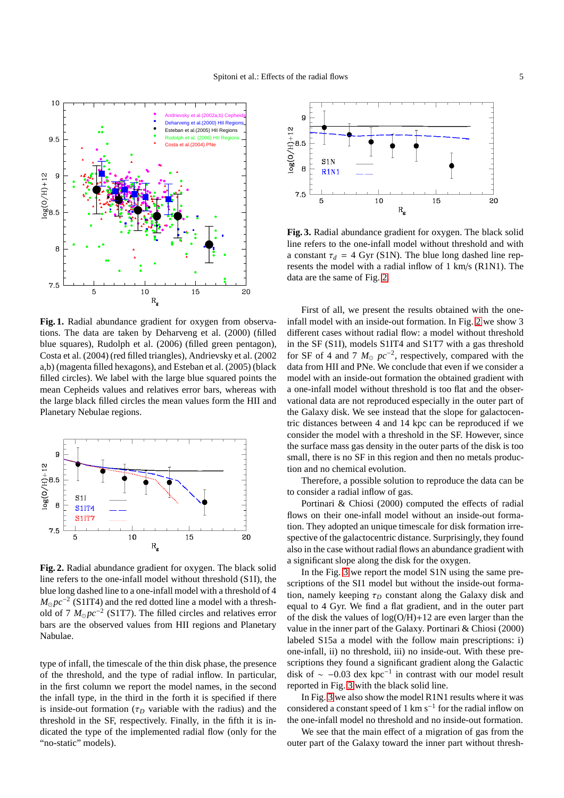

<span id="page-4-0"></span>**Fig. 1.** Radial abundance gradient for oxygen from observations. The data are taken by Deharveng et al. (2000) (filled blue squares), Rudolph et al. (2006) (filled green pentagon), Costa et al. (2004) (red filled triangles), Andrievsky et al. (2002 a,b) (magenta filled hexagons), and Esteban et al. (2005) (black filled circles). We label with the large blue squared points the mean Cepheids values and relatives error bars, whereas with the large black filled circles the mean values form the HII and Planetary Nebulae regions.



<span id="page-4-1"></span>**Fig. 2.** Radial abundance gradient for oxygen. The black solid line refers to the one-infall model without threshold (S1I), the blue long dashed line to a one-infall model with a threshold of 4 *M*<sub>☉</sub> $pc^{-2}$  (S1IT4) and the red dotted line a model with a threshold of 7  $M_{\odot}pc^{-2}$  (S1T7). The filled circles and relatives error bars are the observed values from HII regions and Planetary Nabulae.

type of infall, the timescale of the thin disk phase, the presence of the threshold, and the type of radial inflow. In particular, in the first column we report the model names, in the second the infall type, in the third in the forth it is specified if there is inside-out formation ( $\tau_D$  variable with the radius) and the threshold in the SF, respectively. Finally, in the fifth it is indicated the type of the implemented radial flow (only for the "no-static" models).



<span id="page-4-2"></span>**Fig. 3.** Radial abundance gradient for oxygen. The black solid line refers to the one-infall model without threshold and with a constant  $\tau_d = 4$  Gyr (S1N). The blue long dashed line represents the model with a radial inflow of 1 km/s (R1N1). The data are the same of Fig. [2.](#page-4-1)

First of all, we present the results obtained with the oneinfall model with an inside-out formation. In Fig. [2](#page-4-1) we show 3 different cases without radial flow: a model without threshold in the SF (S1I), models S1IT4 and S1T7 with a gas threshold for SF of 4 and 7  $M_{\odot}$   $pc^{-2}$ , respectively, compared with the data from HII and PNe. We conclude that even if we consider a model with an inside-out formation the obtained gradient with a one-infall model without threshold is too flat and the observational data are not reproduced especially in the outer part of the Galaxy disk. We see instead that the slope for galactocentric distances between 4 and 14 kpc can be reproduced if we consider the model with a threshold in the SF. However, since the surface mass gas density in the outer parts of the disk is too small, there is no SF in this region and then no metals production and no chemical evolution.

Therefore, a possible solution to reproduce the data can be to consider a radial inflow of gas.

Portinari & Chiosi (2000) computed the effects of radial flows on their one-infall model without an inside-out formation. They adopted an unique timescale for disk formation irrespective of the galactocentric distance. Surprisingly, they found also in the case without radial flows an abundance gradient with a significant slope along the disk for the oxygen.

In the Fig. [3](#page-4-2) we report the model S1N using the same prescriptions of the SI1 model but without the inside-out formation, namely keeping  $\tau_D$  constant along the Galaxy disk and equal to 4 Gyr. We find a flat gradient, and in the outer part of the disk the values of  $log(O/H)+12$  are even larger than the value in the inner part of the Galaxy. Portinari & Chiosi (2000) labeled S15a a model with the follow main prescriptions: i) one-infall, ii) no threshold, iii) no inside-out. With these prescriptions they found a significant gradient along the Galactic disk of  $\sim -0.03$  dex kpc<sup>-1</sup> in contrast with our model result reported in Fig. [3](#page-4-2) with the black solid line.

In Fig. [3](#page-4-2) we also show the model R1N1 results where it was considered a constant speed of 1 km s<sup>-1</sup> for the radial inflow on the one-infall model no threshold and no inside-out formation.

We see that the main effect of a migration of gas from the outer part of the Galaxy toward the inner part without thresh-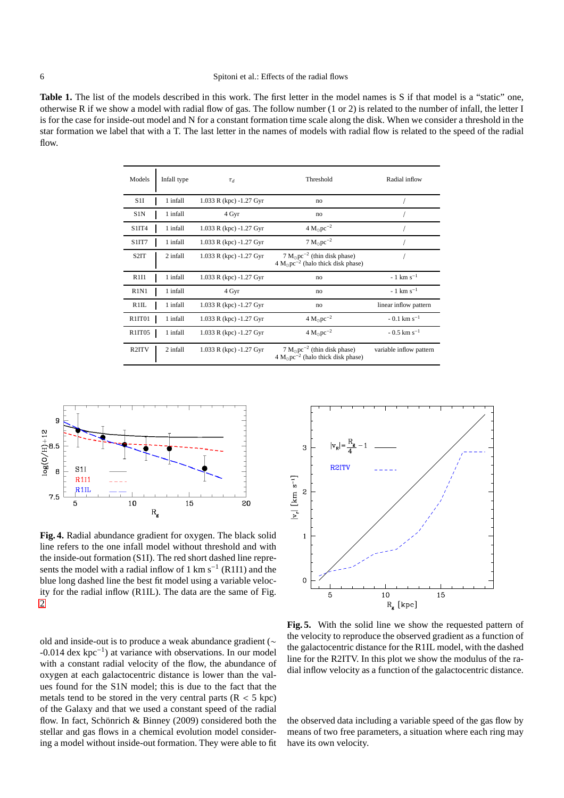## 6 Spitoni et al.: Effects of the radial flows

<span id="page-5-0"></span>Table 1. The list of the models described in this work. The first letter in the model names is S if that model is a "static" one, otherwise R if we show a model with radial flow of gas. The follow number (1 or 2) is related to the number of infall, the letter I is for the case for inside-out model and N for a constant formation time scale along the disk. When we consider a threshold in the star formation we label that with a T. The last letter in the names of models with radial flow is related to the speed of the radial flow.

| Models                        | Infall type | $\tau_d$                | Threshold                                                                              | Radial inflow                        |
|-------------------------------|-------------|-------------------------|----------------------------------------------------------------------------------------|--------------------------------------|
| S1I                           | 1 infall    | 1.033 R (kpc) -1.27 Gyr | no                                                                                     |                                      |
| S1N                           | 1 infall    | 4 Gyr                   | no                                                                                     |                                      |
| S1IT4                         | 1 infall    | 1.033 R (kpc) -1.27 Gyr | $4 M_{\odot}pc^{-2}$                                                                   |                                      |
| S1IT7                         | 1 infall    | 1.033 R (kpc) -1.27 Gyr | $7 \text{ M}_{\odot} \text{pc}^{-2}$                                                   |                                      |
| S <sub>2</sub> IT             | 2 infall    | 1.033 R (kpc) -1.27 Gyr | $7 M_{\odot}pc^{-2}$ (thin disk phase)<br>$4 M_{\odot}pc^{-2}$ (halo thick disk phase) |                                      |
| R1I1                          | 1 infall    | 1.033 R (kpc) -1.27 Gyr | no                                                                                     | $-1$ km s <sup><math>-1</math></sup> |
| R <sub>1</sub> N <sub>1</sub> | 1 infall    | 4 Gyr                   | no                                                                                     | $-1$ km s <sup><math>-1</math></sup> |
| R1IL                          | 1 infall    | 1.033 R (kpc) -1.27 Gyr | no                                                                                     | linear inflow pattern                |
| R <sub>1IT01</sub>            | 1 infall    | 1.033 R (kpc) -1.27 Gyr | $4 \text{ M}_{\odot} \text{pc}^{-2}$                                                   | $-0.1 \text{ km s}^{-1}$             |
| R <sub>1IT05</sub>            | 1 infall    | 1.033 R (kpc) -1.27 Gyr | $4 \text{ M}_{\odot} \text{pc}^{-2}$                                                   | $-0.5$ km s <sup>-1</sup>            |
| R <sub>2</sub> ITV            | 2 infall    | 1.033 R (kpc) -1.27 Gyr | $7 M_{\odot}pc^{-2}$ (thin disk phase)<br>$4 M_{\odot}pc^{-2}$ (halo thick disk phase) | variable inflow pattern              |



<span id="page-5-1"></span>**Fig. 4.** Radial abundance gradient for oxygen. The black solid line refers to the one infall model without threshold and with the inside-out formation (S1I). The red short dashed line represents the model with a radial inflow of 1 km s<sup>-1</sup> (R1I1) and the blue long dashed line the best fit model using a variable velocity for the radial inflow (R1IL). The data are the same of Fig. [2](#page-4-1)

old and inside-out is to produce a weak abundance gradient (∼ -0.014 dex kpc<sup>−</sup><sup>1</sup> ) at variance with observations. In our model with a constant radial velocity of the flow, the abundance of oxygen at each galactocentric distance is lower than the values found for the S1N model; this is due to the fact that the metals tend to be stored in the very central parts  $(R < 5$  kpc) of the Galaxy and that we used a constant speed of the radial flow. In fact, Schönrich & Binney (2009) considered both the stellar and gas flows in a chemical evolution model considering a model without inside-out formation. They were able to fit



<span id="page-5-2"></span>**Fig. 5.** With the solid line we show the requested pattern of the velocity to reproduce the observed gradient as a function of the galactocentric distance for the R1IL model, with the dashed line for the R2ITV. In this plot we show the modulus of the radial inflow velocity as a function of the galactocentric distance.

the observed data including a variable speed of the gas flow by means of two free parameters, a situation where each ring may have its own velocity.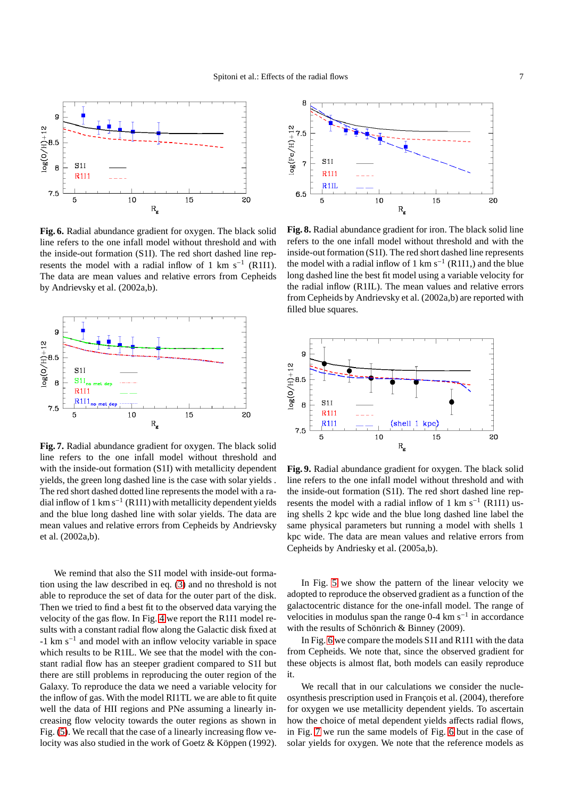

<span id="page-6-0"></span>**Fig. 6.** Radial abundance gradient for oxygen. The black solid line refers to the one infall model without threshold and with the inside-out formation (S1I). The red short dashed line represents the model with a radial inflow of 1 km s<sup>-1</sup> (R1I1). The data are mean values and relative errors from Cepheids by Andrievsky et al. (2002a,b).



<span id="page-6-1"></span>**Fig. 7.** Radial abundance gradient for oxygen. The black solid line refers to the one infall model without threshold and with the inside-out formation (S1I) with metallicity dependent yields, the green long dashed line is the case with solar yields . The red short dashed dotted line represents the model with a radial inflow of 1 km s<sup>-1</sup> (R1I1) with metallicity dependent yields and the blue long dashed line with solar yields. The data are mean values and relative errors from Cepheids by Andrievsky et al. (2002a,b).

We remind that also the S1I model with inside-out formation using the law described in eq. [\(3\)](#page-1-1) and no threshold is not able to reproduce the set of data for the outer part of the disk. Then we tried to find a best fit to the observed data varying the velocity of the gas flow. In Fig. [4](#page-5-1) we report the R1I1 model results with a constant radial flow along the Galactic disk fixed at -1 km s<sup>−</sup><sup>1</sup> and model with an inflow velocity variable in space which results to be R1IL. We see that the model with the constant radial flow has an steeper gradient compared to S1I but there are still problems in reproducing the outer region of the Galaxy. To reproduce the data we need a variable velocity for the inflow of gas. With the model RI1TL we are able to fit quite well the data of HII regions and PNe assuming a linearly increasing flow velocity towards the outer regions as shown in Fig. [\(5\)](#page-5-2). We recall that the case of a linearly increasing flow velocity was also studied in the work of Goetz & Köppen (1992).



<span id="page-6-2"></span>**Fig. 8.** Radial abundance gradient for iron. The black solid line refers to the one infall model without threshold and with the inside-out formation (S1I). The red short dashed line represents the model with a radial inflow of 1 km s<sup>-1</sup> (R1I1,) and the blue long dashed line the best fit model using a variable velocity for the radial inflow (R1IL). The mean values and relative errors from Cepheids by Andrievsky et al. (2002a,b) are reported with filled blue squares.



<span id="page-6-3"></span>**Fig. 9.** Radial abundance gradient for oxygen. The black solid line refers to the one infall model without threshold and with the inside-out formation (S1I). The red short dashed line represents the model with a radial inflow of 1 km s<sup>-1</sup> (R1I1) using shells 2 kpc wide and the blue long dashed line label the same physical parameters but running a model with shells 1 kpc wide. The data are mean values and relative errors from Cepheids by Andriesky et al. (2005a,b).

In Fig. [5](#page-5-2) we show the pattern of the linear velocity we adopted to reproduce the observed gradient as a function of the galactocentric distance for the one-infall model. The range of velocities in modulus span the range  $0-4 \text{ km s}^{-1}$  in accordance with the results of Schönrich & Binney (2009).

In Fig. [6](#page-6-0) we compare the models S1I and R1I1 with the data from Cepheids. We note that, since the observed gradient for these objects is almost flat, both models can easily reproduce it.

We recall that in our calculations we consider the nucleosynthesis prescription used in François et al. (2004), therefore for oxygen we use metallicity dependent yields. To ascertain how the choice of metal dependent yields affects radial flows, in Fig. [7](#page-6-1) we run the same models of Fig. [6](#page-6-0) but in the case of solar yields for oxygen. We note that the reference models as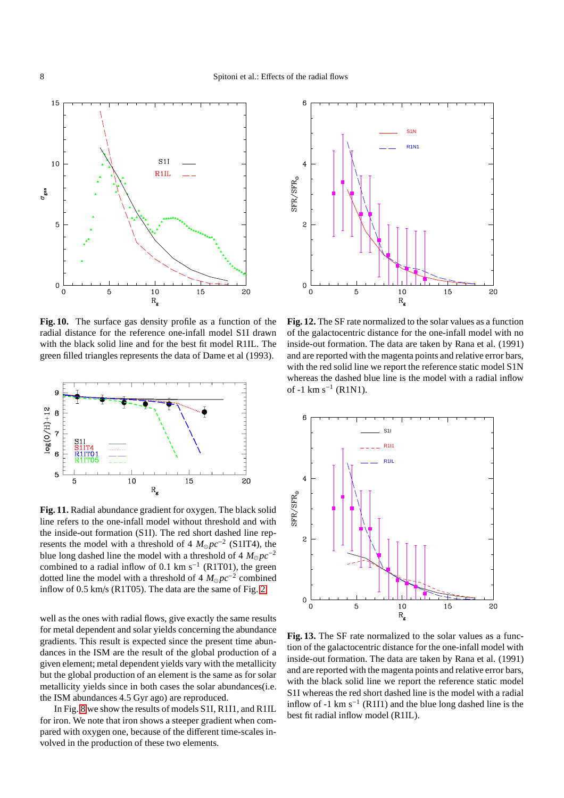

<span id="page-7-0"></span>**Fig. 10.** The surface gas density profile as a function of the radial distance for the reference one-infall model S1I drawn with the black solid line and for the best fit model R1IL. The green filled triangles represents the data of Dame et al (1993).



<span id="page-7-1"></span>**Fig. 11.** Radial abundance gradient for oxygen. The black solid line refers to the one-infall model without threshold and with the inside-out formation (S1I). The red short dashed line represents the model with a threshold of  $4 M_{\odot}pc^{-2}$  (S1IT4), the blue long dashed line the model with a threshold of 4  $M_{\odot}pc^{-2}$ combined to a radial inflow of 0.1 km s<sup>-1</sup> (R1T01), the green dotted line the model with a threshold of  $4 M_{\odot} pc^{-2}$  combined inflow of 0.5 km/s (R1T05). The data are the same of Fig. [2.](#page-4-1)

well as the ones with radial flows, give exactly the same results for metal dependent and solar yields concerning the abundance gradients. This result is expected since the present time abundances in the ISM are the result of the global production of a given element; metal dependent yields vary with the metallicity but the global production of an element is the same as for solar metallicity yields since in both cases the solar abundances(i.e. the ISM abundances 4.5 Gyr ago) are reproduced.

In Fig. [8](#page-6-2) we show the results of models S1I, R1I1, and R1IL for iron. We note that iron shows a steeper gradient when compared with oxygen one, because of the different time-scales involved in the production of these two elements.



<span id="page-7-2"></span>**Fig. 12.** The SF rate normalized to the solar values as a function of the galactocentric distance for the one-infall model with no inside-out formation. The data are taken by Rana et al. (1991) and are reported with the magenta points and relative error bars, with the red solid line we report the reference static model S1N whereas the dashed blue line is the model with a radial inflow of -1 km s−<sup>1</sup> (R1N1).



<span id="page-7-3"></span>**Fig. 13.** The SF rate normalized to the solar values as a function of the galactocentric distance for the one-infall model with inside-out formation. The data are taken by Rana et al. (1991) and are reported with the magenta points and relative error bars, with the black solid line we report the reference static model S1I whereas the red short dashed line is the model with a radial inflow of -1 km  $s^{-1}$  (R1I1) and the blue long dashed line is the best fit radial inflow model (R1IL).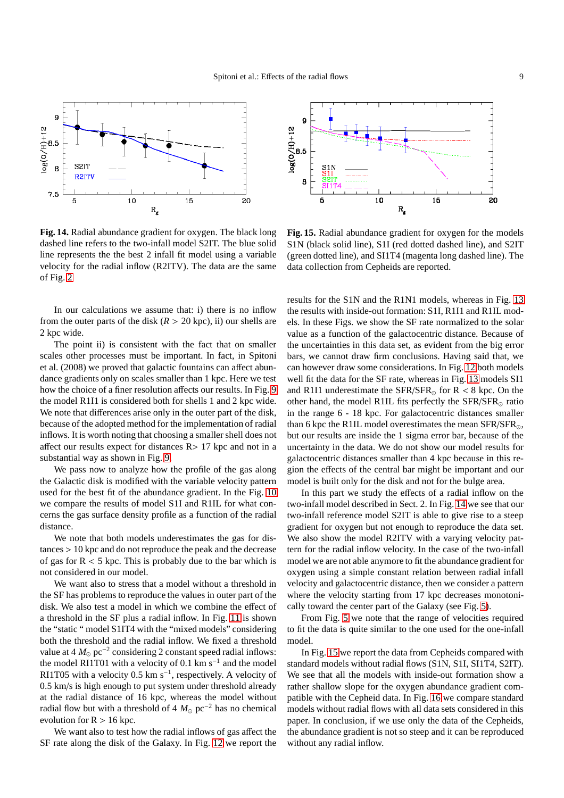

<span id="page-8-0"></span>**Fig. 14.** Radial abundance gradient for oxygen. The black long dashed line refers to the two-infall model S2IT. The blue solid line represents the the best 2 infall fit model using a variable velocity for the radial inflow (R2ITV). The data are the same of Fig. [2](#page-4-1)

In our calculations we assume that: i) there is no inflow from the outer parts of the disk  $(R > 20 \text{ kpc})$ , ii) our shells are 2 kpc wide.

The point ii) is consistent with the fact that on smaller scales other processes must be important. In fact, in Spitoni et al. (2008) we proved that galactic fountains can affect abundance gradients only on scales smaller than 1 kpc. Here we test how the choice of a finer resolution affects our results. In Fig. [9](#page-6-3) the model R1I1 is considered both for shells 1 and 2 kpc wide. We note that differences arise only in the outer part of the disk, because of the adopted method for the implementation of radial inflows. It is worth noting that choosing a smaller shell does not affect our results expect for distances R> 17 kpc and not in a substantial way as shown in Fig. [9.](#page-6-3)

We pass now to analyze how the profile of the gas along the Galactic disk is modified with the variable velocity pattern used for the best fit of the abundance gradient. In the Fig. [10](#page-7-0) we compare the results of model S1I and R1IL for what concerns the gas surface density profile as a function of the radial distance.

We note that both models underestimates the gas for distances > 10 kpc and do not reproduce the peak and the decrease of gas for  $R < 5$  kpc. This is probably due to the bar which is not considered in our model.

We want also to stress that a model without a threshold in the SF has problems to reproduce the values in outer part of the disk. We also test a model in which we combine the effect of a threshold in the SF plus a radial inflow. In Fig. [11](#page-7-1) is shown the "static " model S1IT4 with the "mixed models" considering both the threshold and the radial inflow. We fixed a threshold value at 4  $M_{\odot}$  pc<sup>-2</sup> considering 2 constant speed radial inflows: the model RI1T01 with a velocity of 0.1 km s<sup>-1</sup> and the model RI1T05 with a velocity 0.5 km  $s^{-1}$ , respectively. A velocity of 0.5 km/s is high enough to put system under threshold already at the radial distance of 16 kpc, whereas the model without radial flow but with a threshold of 4  $M_{\odot}$  pc<sup>-2</sup> has no chemical evolution for  $R > 16$  kpc.

We want also to test how the radial inflows of gas affect the SF rate along the disk of the Galaxy. In Fig. [12](#page-7-2) we report the



<span id="page-8-1"></span>**Fig. 15.** Radial abundance gradient for oxygen for the models S1N (black solid line), S1I (red dotted dashed line), and S2IT (green dotted line), and SI1T4 (magenta long dashed line). The data collection from Cepheids are reported.

results for the S1N and the R1N1 models, whereas in Fig. [13](#page-7-3) the results with inside-out formation: S1I, R1I1 and R1IL models. In these Figs. we show the SF rate normalized to the solar value as a function of the galactocentric distance. Because of the uncertainties in this data set, as evident from the big error bars, we cannot draw firm conclusions. Having said that, we can however draw some considerations. In Fig. [12](#page-7-2) both models well fit the data for the SF rate, whereas in Fig. [13](#page-7-3) models SI1 and R1I1 underestimate the  $SFR/SFR_{\odot}$  for R < 8 kpc. On the other hand, the model R1IL fits perfectly the  $SFR/SFR_{\odot}$  ratio in the range 6 - 18 kpc. For galactocentric distances smaller than 6 kpc the R1IL model overestimates the mean  $SFR/SFR_{\odot}$ , but our results are inside the 1 sigma error bar, because of the uncertainty in the data. We do not show our model results for galactocentric distances smaller than 4 kpc because in this region the effects of the central bar might be important and our model is built only for the disk and not for the bulge area.

In this part we study the effects of a radial inflow on the two-infall model described in Sect. 2. In Fig. [14](#page-8-0) we see that our two-infall reference model S2IT is able to give rise to a steep gradient for oxygen but not enough to reproduce the data set. We also show the model R2ITV with a varying velocity pattern for the radial inflow velocity. In the case of the two-infall model we are not able anymore to fit the abundance gradient for oxygen using a simple constant relation between radial infall velocity and galactocentric distance, then we consider a pattern where the velocity starting from 17 kpc decreases monotonically toward the center part of the Galaxy (see Fig. [5\)](#page-5-2).

From Fig. [5](#page-5-2) we note that the range of velocities required to fit the data is quite similar to the one used for the one-infall model.

In Fig. [15](#page-8-1) we report the data from Cepheids compared with standard models without radial flows (S1N, S1I, SI1T4, S2IT). We see that all the models with inside-out formation show a rather shallow slope for the oxygen abundance gradient compatible with the Cepheid data. In Fig. [16](#page-9-0) we compare standard models without radial flows with all data sets considered in this paper. In conclusion, if we use only the data of the Cepheids, the abundance gradient is not so steep and it can be reproduced without any radial inflow.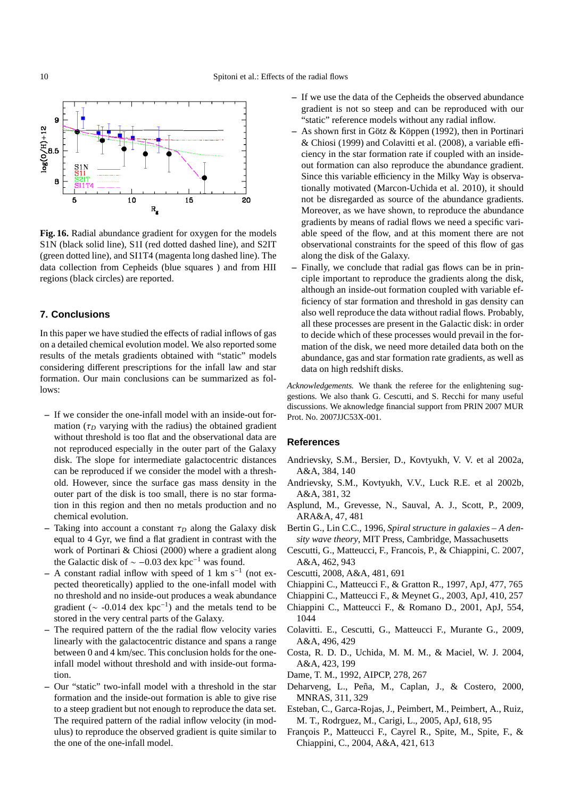

<span id="page-9-0"></span>**Fig. 16.** Radial abundance gradient for oxygen for the models S1N (black solid line), S1I (red dotted dashed line), and S2IT (green dotted line), and SI1T4 (magenta long dashed line). The data collection from Cepheids (blue squares ) and from HII regions (black circles) are reported.

# **7. Conclusions**

In this paper we have studied the effects of radial inflows of gas on a detailed chemical evolution model. We also reported some results of the metals gradients obtained with "static" models considering different prescriptions for the infall law and star formation. Our main conclusions can be summarized as follows:

- **–** If we consider the one-infall model with an inside-out formation ( $\tau_D$  varying with the radius) the obtained gradient without threshold is too flat and the observational data are not reproduced especially in the outer part of the Galaxy disk. The slope for intermediate galactocentric distances can be reproduced if we consider the model with a threshold. However, since the surface gas mass density in the outer part of the disk is too small, there is no star formation in this region and then no metals production and no chemical evolution.
- **–** Taking into account a constant  $\tau_D$  along the Galaxy disk equal to 4 Gyr, we find a flat gradient in contrast with the work of Portinari & Chiosi (2000) where a gradient along the Galactic disk of  $\sim -0.03$  dex kpc<sup>-1</sup> was found.
- **–** A constant radial inflow with speed of 1 km s<sup>−</sup><sup>1</sup> (not expected theoretically) applied to the one-infall model with no threshold and no inside-out produces a weak abundance gradient ( $\sim$  -0.014 dex kpc<sup>-1</sup>) and the metals tend to be stored in the very central parts of the Galaxy.
- **–** The required pattern of the the radial flow velocity varies linearly with the galactocentric distance and spans a range between 0 and 4 km/sec. This conclusion holds for the oneinfall model without threshold and with inside-out formation.
- **–** Our "static" two-infall model with a threshold in the star formation and the inside-out formation is able to give rise to a steep gradient but not enough to reproduce the data set. The required pattern of the radial inflow velocity (in modulus) to reproduce the observed gradient is quite similar to the one of the one-infall model.
- **–** If we use the data of the Cepheids the observed abundance gradient is not so steep and can be reproduced with our "static" reference models without any radial inflow.
- **–** As shown first in G¨otz & K¨oppen (1992), then in Portinari & Chiosi (1999) and Colavitti et al. (2008), a variable efficiency in the star formation rate if coupled with an insideout formation can also reproduce the abundance gradient. Since this variable efficiency in the Milky Way is observationally motivated (Marcon-Uchida et al. 2010), it should not be disregarded as source of the abundance gradients. Moreover, as we have shown, to reproduce the abundance gradients by means of radial flows we need a specific variable speed of the flow, and at this moment there are not observational constraints for the speed of this flow of gas along the disk of the Galaxy.
- **–** Finally, we conclude that radial gas flows can be in principle important to reproduce the gradients along the disk, although an inside-out formation coupled with variable efficiency of star formation and threshold in gas density can also well reproduce the data without radial flows. Probably, all these processes are present in the Galactic disk: in order to decide which of these processes would prevail in the formation of the disk, we need more detailed data both on the abundance, gas and star formation rate gradients, as well as data on high redshift disks.

*Acknowledgements.* We thank the referee for the enlightening suggestions. We also thank G. Cescutti, and S. Recchi for many useful discussions. We aknowledge financial support from PRIN 2007 MUR Prot. No. 2007JJC53X-001.

# **References**

- Andrievsky, S.M., Bersier, D., Kovtyukh, V. V. et al 2002a, A&A, 384, 140
- Andrievsky, S.M., Kovtyukh, V.V., Luck R.E. et al 2002b, A&A, 381, 32
- Asplund, M., Grevesse, N., Sauval, A. J., Scott, P., 2009, ARA&A, 47, 481
- Bertin G., Lin C.C., 1996, *Spiral structure in galaxies A density wave theory*, MIT Press, Cambridge, Massachusetts
- Cescutti, G., Matteucci, F., Francois, P., & Chiappini, C. 2007, A&A, 462, 943
- Cescutti, 2008, A&A, 481, 691
- Chiappini C., Matteucci F., & Gratton R., 1997, ApJ, 477, 765
- Chiappini C., Matteucci F., & Meynet G., 2003, ApJ, 410, 257
- Chiappini C., Matteucci F., & Romano D., 2001, ApJ, 554, 1044
- Colavitti. E., Cescutti, G., Matteucci F., Murante G., 2009, A&A, 496, 429
- Costa, R. D. D., Uchida, M. M. M., & Maciel, W. J. 2004, A&A, 423, 199
- Dame, T. M., 1992, AIPCP, 278, 267
- Deharveng, L., Peña, M., Caplan, J., & Costero, 2000, MNRAS, 311, 329
- Esteban, C., Garca-Rojas, J., Peimbert, M., Peimbert, A., Ruiz, M. T., Rodrguez, M., Carigi, L., 2005, ApJ, 618, 95
- François P., Matteucci F., Cayrel R., Spite, M., Spite, F., & Chiappini, C., 2004, A&A, 421, 613